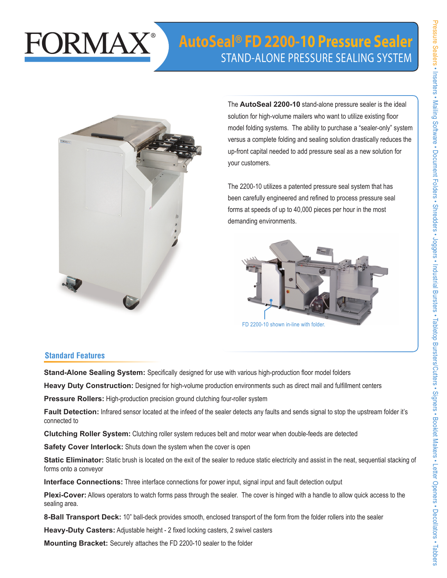## FORMAX

## **AutoSeal® FD 2200-10 Pressure Sealer** Stand-alone PreSSure Sealing SyStem



The **AutoSeal 2200-10** stand-alone pressure sealer is the ideal solution for high-volume mailers who want to utilize existing floor model folding systems. The ability to purchase a "sealer-only" system versus a complete folding and sealing solution drastically reduces the up-front capital needed to add pressure seal as a new solution for your customers.

The 2200-10 utilizes a patented pressure seal system that has been carefully engineered and refined to process pressure seal forms at speeds of up to 40,000 pieces per hour in the most demanding environments.



FD 2200-10 shown in-line with folder

## **Standard Features**

**Stand-Alone Sealing System:** Specifically designed for use with various high-production floor model folders

**Heavy Duty Construction:** Designed for high-volume production environments such as direct mail and fulfillment centers

**Pressure Rollers:** High-production precision ground clutching four-roller system

**Fault Detection:** Infrared sensor located at the infeed of the sealer detects any faults and sends signal to stop the upstream folder it's connected to

**Clutching Roller System:** Clutching roller system reduces belt and motor wear when double-feeds are detected

**Safety Cover Interlock:** Shuts down the system when the cover is open

**Static Eliminator:** Static brush is located on the exit of the sealer to reduce static electricity and assist in the neat, sequential stacking of forms onto a conveyor

**Interface Connections:** Three interface connections for power input, signal input and fault detection output

**Plexi-Cover:** Allows operators to watch forms pass through the sealer. The cover is hinged with a handle to allow quick access to the sealing area.

**8-Ball Transport Deck:** 10" ball-deck provides smooth, enclosed transport of the form from the folder rollers into the sealer

**Heavy-Duty Casters:** Adjustable height - 2 fixed locking casters, 2 swivel casters

**Mounting Bracket:** Securely attaches the FD 2200-10 sealer to the folder